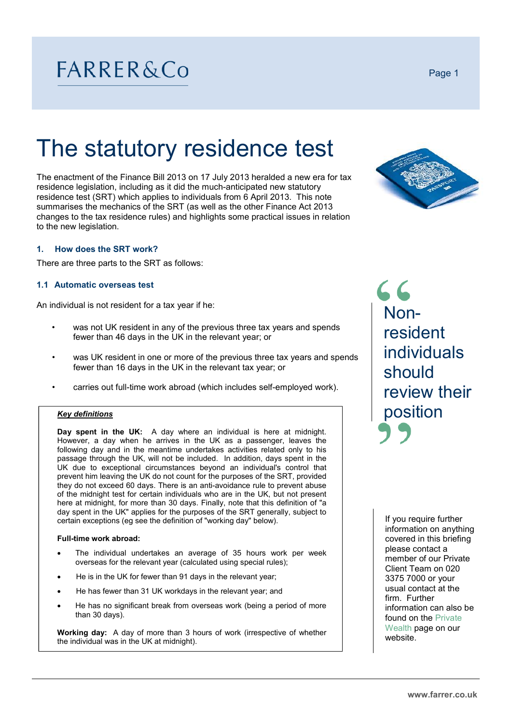# FARRER&Co

# The statutory residence test

The enactment of the Finance Bill 2013 on 17 July 2013 heralded a new era for tax residence legislation, including as it did the much-anticipated new statutory residence test (SRT) which applies to individuals from 6 April 2013. This note summarises the mechanics of the SRT (as well as the other Finance Act 2013 changes to the tax residence rules) and highlights some practical issues in relation to the new legislation.

### **1. How does the SRT work?**

There are three parts to the SRT as follows:

#### **1.1 Automatic overseas test**

An individual is not resident for a tax year if he:

- was not UK resident in any of the previous three tax years and spends fewer than 46 days in the UK in the relevant year; or
- was UK resident in one or more of the previous three tax years and spends fewer than 16 days in the UK in the relevant tax year; or
- carries out full-time work abroad (which includes self-employed work).

#### *Key definitions*

**Day spent in the UK:** A day where an individual is here at midnight. However, a day when he arrives in the UK as a passenger, leaves the following day and in the meantime undertakes activities related only to his passage through the UK, will not be included. In addition, days spent in the UK due to exceptional circumstances beyond an individual's control that prevent him leaving the UK do not count for the purposes of the SRT, provided they do not exceed 60 days. There is an anti-avoidance rule to prevent abuse of the midnight test for certain individuals who are in the UK, but not present here at midnight, for more than 30 days. Finally, note that this definition of "a day spent in the UK" applies for the purposes of the SRT generally, subject to certain exceptions (eg see the definition of "working day" below).

#### **Full-time work abroad:**

- The individual undertakes an average of 35 hours work per week overseas for the relevant year (calculated using special rules);
- He is in the UK for fewer than 91 days in the relevant year;
- He has fewer than 31 UK workdays in the relevant year; and
- He has no significant break from overseas work (being a period of more than 30 days).

**Working day:** A day of more than 3 hours of work (irrespective of whether the individual was in the UK at midnight).

## 66 Nonresident individuals should review their position

If you require further information on anything covered in this briefing please contact a member of our Private Client Team on 020 3375 7000 or your usual contact at the firm. Further information can also be found on the Private Wealth page on our website.



Page 1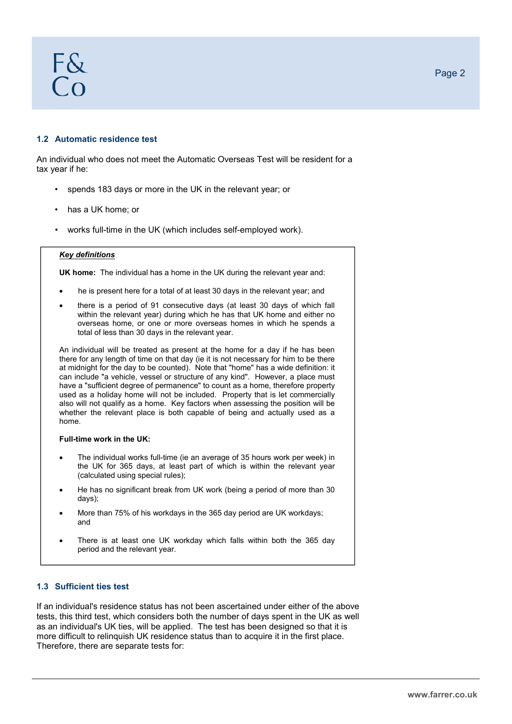# F&  $\bigcap$

#### **1.2 Automatic residence test**

An individual who does not meet the Automatic Overseas Test will be resident for a tax year if he:

- spends 183 days or more in the UK in the relevant year; or
- has a UK home; or
- works full-time in the UK (which includes self-employed work).

#### *Key definitions*

**UK home:** The individual has a home in the UK during the relevant year and:

- he is present here for a total of at least 30 days in the relevant year; and
- there is a period of 91 consecutive days (at least 30 days of which fall within the relevant year) during which he has that UK home and either no overseas home, or one or more overseas homes in which he spends a total of less than 30 days in the relevant year.

An individual will be treated as present at the home for a day if he has been there for any length of time on that day (ie it is not necessary for him to be there at midnight for the day to be counted). Note that "home" has a wide definition: it can include "a vehicle, vessel or structure of any kind". However, a place must have a "sufficient degree of permanence" to count as a home, therefore property used as a holiday home will not be included. Property that is let commercially also will not qualify as a home. Key factors when assessing the position will be whether the relevant place is both capable of being and actually used as a home.

#### **Full-time work in the UK:**

- The individual works full-time (ie an average of 35 hours work per week) in the UK for 365 days, at least part of which is within the relevant year (calculated using special rules);
- He has no significant break from UK work (being a period of more than 30 days);
- More than 75% of his workdays in the 365 day period are UK workdays; and
- There is at least one UK workday which falls within both the 365 day period and the relevant year.

### **1.3 Sufficient ties test**

If an individual's residence status has not been ascertained under either of the above tests, this third test, which considers both the number of days spent in the UK as well as an individual's UK ties, will be applied. The test has been designed so that it is more difficult to relinquish UK residence status than to acquire it in the first place. Therefore, there are separate tests for: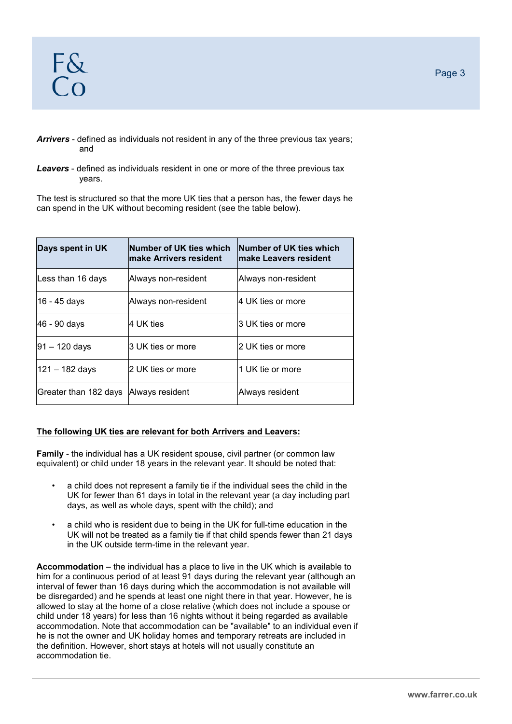### *Arrivers* - defined as individuals not resident in any of the three previous tax years; and

#### *Leavers* - defined as individuals resident in one or more of the three previous tax years.

The test is structured so that the more UK ties that a person has, the fewer days he can spend in the UK without becoming resident (see the table below).

| Days spent in UK      | Number of UK ties which<br>lmake Arrivers resident | Number of UK ties which<br>lmake Leavers resident |
|-----------------------|----------------------------------------------------|---------------------------------------------------|
| Less than 16 days     | Always non-resident                                | Always non-resident                               |
| 16 - 45 days          | Always non-resident                                | 4 UK ties or more                                 |
| 46 - 90 days          | l4 UK ties                                         | 3 UK ties or more                                 |
| 91 – 120 days         | 3 UK ties or more                                  | 2 UK ties or more                                 |
| 121 – 182 days        | l2 UK ties or more                                 | 1 UK tie or more                                  |
| Greater than 182 days | Always resident                                    | Always resident                                   |

### **The following UK ties are relevant for both Arrivers and Leavers:**

**Family** - the individual has a UK resident spouse, civil partner (or common law equivalent) or child under 18 years in the relevant year. It should be noted that:

- a child does not represent a family tie if the individual sees the child in the UK for fewer than 61 days in total in the relevant year (a day including part days, as well as whole days, spent with the child); and
- a child who is resident due to being in the UK for full-time education in the UK will not be treated as a family tie if that child spends fewer than 21 days in the UK outside term-time in the relevant year.

**Accommodation** – the individual has a place to live in the UK which is available to him for a continuous period of at least 91 days during the relevant year (although an interval of fewer than 16 days during which the accommodation is not available will be disregarded) and he spends at least one night there in that year. However, he is allowed to stay at the home of a close relative (which does not include a spouse or child under 18 years) for less than 16 nights without it being regarded as available accommodation. Note that accommodation can be "available" to an individual even if he is not the owner and UK holiday homes and temporary retreats are included in the definition. However, short stays at hotels will not usually constitute an accommodation tie.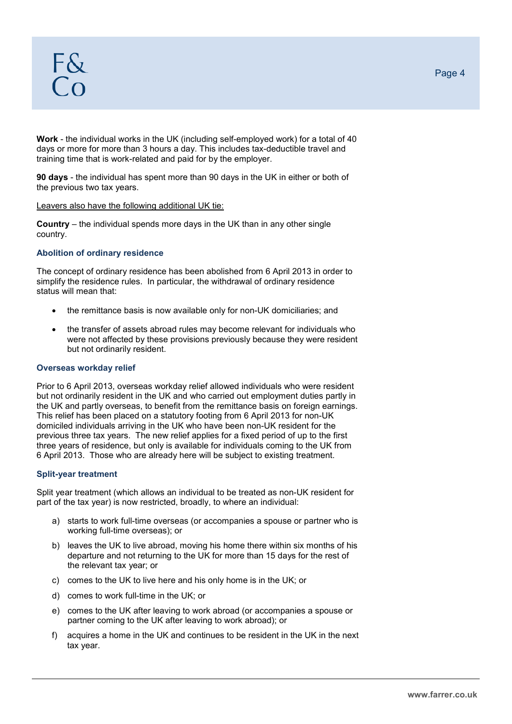**Work** - the individual works in the UK (including self-employed work) for a total of 40 days or more for more than 3 hours a day. This includes tax-deductible travel and training time that is work-related and paid for by the employer.

**90 days** - the individual has spent more than 90 days in the UK in either or both of the previous two tax years.

#### Leavers also have the following additional UK tie:

**Country** – the individual spends more days in the UK than in any other single country.

#### **Abolition of ordinary residence**

The concept of ordinary residence has been abolished from 6 April 2013 in order to simplify the residence rules. In particular, the withdrawal of ordinary residence status will mean that:

- the remittance basis is now available only for non-UK domiciliaries; and
- the transfer of assets abroad rules may become relevant for individuals who were not affected by these provisions previously because they were resident but not ordinarily resident.

#### **Overseas workday relief**

Prior to 6 April 2013, overseas workday relief allowed individuals who were resident but not ordinarily resident in the UK and who carried out employment duties partly in the UK and partly overseas, to benefit from the remittance basis on foreign earnings. This relief has been placed on a statutory footing from 6 April 2013 for non-UK domiciled individuals arriving in the UK who have been non-UK resident for the previous three tax years. The new relief applies for a fixed period of up to the first three years of residence, but only is available for individuals coming to the UK from 6 April 2013. Those who are already here will be subject to existing treatment.

#### **Split-year treatment**

Split year treatment (which allows an individual to be treated as non-UK resident for part of the tax year) is now restricted, broadly, to where an individual:

- a) starts to work full-time overseas (or accompanies a spouse or partner who is working full-time overseas); or
- b) leaves the UK to live abroad, moving his home there within six months of his departure and not returning to the UK for more than 15 days for the rest of the relevant tax year; or
- c) comes to the UK to live here and his only home is in the UK; or
- d) comes to work full-time in the UK; or
- e) comes to the UK after leaving to work abroad (or accompanies a spouse or partner coming to the UK after leaving to work abroad); or
- f) acquires a home in the UK and continues to be resident in the UK in the next tax year.